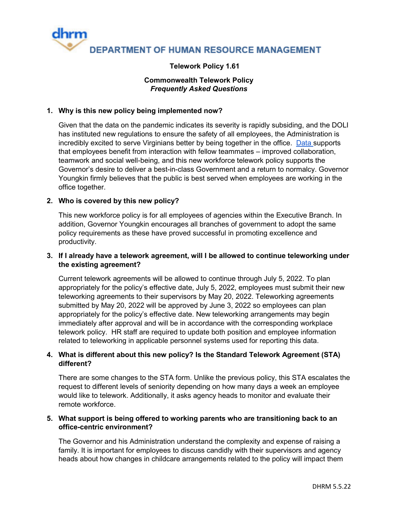

# **Telework Policy 1.61**

# **Commonwealth Telework Policy** *Frequently Asked Questions*

# **1. Why is this new policy being implemented now?**

Given that the data on the pandemic indicates its severity is rapidly subsiding, and the DOLI has instituted new regulations to ensure the safety of all employees, the Administration is incredibly excited to serve Virginians better by being together in the office. [Data s](https://journals.sagepub.com/doi/abs/10.1177/0146167207310454)upports that employees benefit from interaction with fellow teammates – improved collaboration, teamwork and social well-being, and this new workforce telework policy supports the Governor's desire to deliver a best-in-class Government and a return to normalcy. Governor Youngkin firmly believes that the public is best served when employees are working in the office together.

# **2. Who is covered by this new policy?**

This new workforce policy is for all employees of agencies within the Executive Branch. In addition, Governor Youngkin encourages all branches of government to adopt the same policy requirements as these have proved successful in promoting excellence and productivity.

## **3. If I already have a telework agreement, will I be allowed to continue teleworking under the existing agreement?**

Current telework agreements will be allowed to continue through July 5, 2022. To plan appropriately for the policy's effective date, July 5, 2022, employees must submit their new teleworking agreements to their supervisors by May 20, 2022. Teleworking agreements submitted by May 20, 2022 will be approved by June 3, 2022 so employees can plan appropriately for the policy's effective date. New teleworking arrangements may begin immediately after approval and will be in accordance with the corresponding workplace telework policy. HR staff are required to update both position and employee information related to teleworking in applicable personnel systems used for reporting this data.

# **4. What is different about this new policy? Is the Standard Telework Agreement (STA) different?**

There are some changes to the STA form. Unlike the previous policy, this STA escalates the request to different levels of seniority depending on how many days a week an employee would like to telework. Additionally, it asks agency heads to monitor and evaluate their remote workforce.

## **5. What support is being offered to working parents who are transitioning back to an office-centric environment?**

The Governor and his Administration understand the complexity and expense of raising a family. It is important for employees to discuss candidly with their supervisors and agency heads about how changes in childcare arrangements related to the policy will impact them